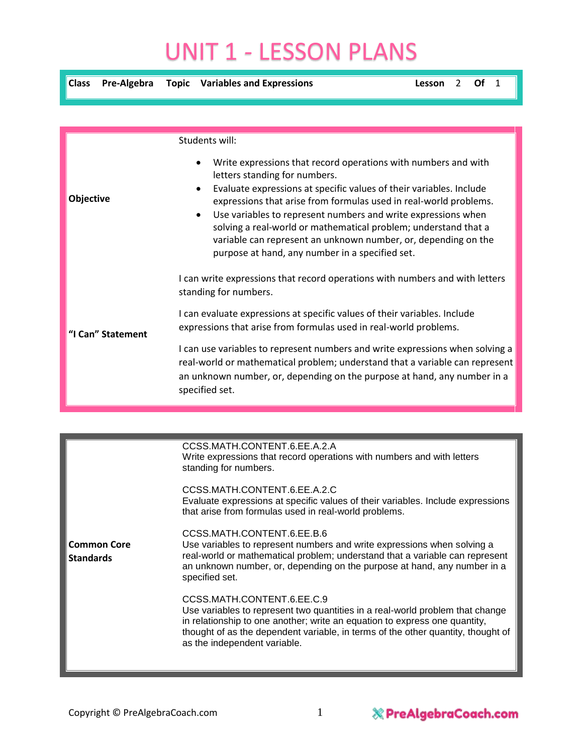## UNIT 1 - LESSON PLANS

| <b>Class</b>     | Pre-Algebra       | <b>Topic</b> Variables and Expressions                                                                                                                                                                                                                                                                                                                                                                                                                                                                                         | Lesson | 2 | Ωf | $\overline{1}$ |
|------------------|-------------------|--------------------------------------------------------------------------------------------------------------------------------------------------------------------------------------------------------------------------------------------------------------------------------------------------------------------------------------------------------------------------------------------------------------------------------------------------------------------------------------------------------------------------------|--------|---|----|----------------|
|                  |                   |                                                                                                                                                                                                                                                                                                                                                                                                                                                                                                                                |        |   |    |                |
|                  |                   | Students will:                                                                                                                                                                                                                                                                                                                                                                                                                                                                                                                 |        |   |    |                |
| <b>Objective</b> |                   | Write expressions that record operations with numbers and with<br>letters standing for numbers.<br>Evaluate expressions at specific values of their variables. Include<br>$\bullet$<br>expressions that arise from formulas used in real-world problems.<br>Use variables to represent numbers and write expressions when<br>$\bullet$<br>solving a real-world or mathematical problem; understand that a<br>variable can represent an unknown number, or, depending on the<br>purpose at hand, any number in a specified set. |        |   |    |                |
|                  |                   | I can write expressions that record operations with numbers and with letters<br>standing for numbers.                                                                                                                                                                                                                                                                                                                                                                                                                          |        |   |    |                |
|                  | "I Can" Statement | I can evaluate expressions at specific values of their variables. Include<br>expressions that arise from formulas used in real-world problems.                                                                                                                                                                                                                                                                                                                                                                                 |        |   |    |                |
|                  |                   | I can use variables to represent numbers and write expressions when solving a<br>real-world or mathematical problem; understand that a variable can represent<br>an unknown number, or, depending on the purpose at hand, any number in a<br>specified set.                                                                                                                                                                                                                                                                    |        |   |    |                |

|                                        | CCSS.MATH.CONTENT.6.EE.A.2.A<br>Write expressions that record operations with numbers and with letters<br>standing for numbers.                                                                                                                                                                               |
|----------------------------------------|---------------------------------------------------------------------------------------------------------------------------------------------------------------------------------------------------------------------------------------------------------------------------------------------------------------|
|                                        | CCSS.MATH.CONTENT.6.EE.A.2.C<br>Evaluate expressions at specific values of their variables. Include expressions<br>that arise from formulas used in real-world problems.                                                                                                                                      |
| <b>Common Core</b><br><b>Standards</b> | CCSS.MATH.CONTENT.6.EE.B.6<br>Use variables to represent numbers and write expressions when solving a<br>real-world or mathematical problem; understand that a variable can represent<br>an unknown number, or, depending on the purpose at hand, any number in a<br>specified set.                           |
|                                        | CCSS.MATH.CONTENT.6.EE.C.9<br>Use variables to represent two quantities in a real-world problem that change<br>in relationship to one another; write an equation to express one quantity,<br>thought of as the dependent variable, in terms of the other quantity, thought of<br>as the independent variable. |
|                                        |                                                                                                                                                                                                                                                                                                               |